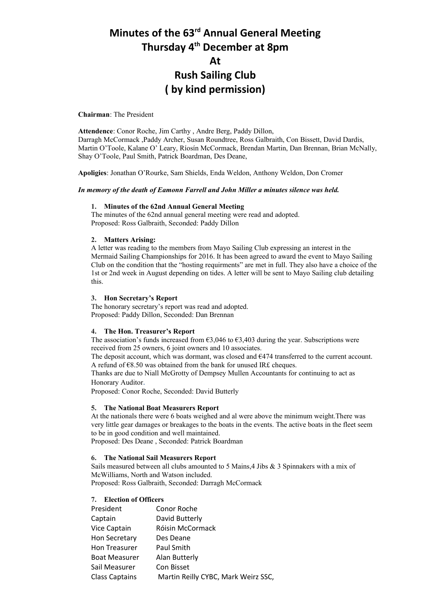# **Minutes of the 63rd Annual General Meeting Thursday 4th December at 8pm At Rush Sailing Club ( by kind permission)**

# **Chairman**: The President

**Attendence**: Conor Roche, Jim Carthy , Andre Berg, Paddy Dillon, Darragh McCormack ,Paddy Archer, Susan Roundtree, Ross Galbraith, Con Bissett, David Dardis, Martin O'Toole, Kalane O' Leary, Ríosín McCormack, Brendan Martin, Dan Brennan, Brian McNally, Shay O'Toole, Paul Smith, Patrick Boardman, Des Deane,

**Apoligies**: Jonathan O'Rourke, Sam Shields, Enda Weldon, Anthony Weldon, Don Cromer

#### *In memory of the death of Eamonn Farrell and John Miller a minutes silence was held.*

#### **1. Minutes of the 62nd Annual General Meeting**

The minutes of the 62nd annual general meeting were read and adopted. Proposed: Ross Galbraith, Seconded: Paddy Dillon

# **2. Matters Arising:**

A letter was reading to the members from Mayo Sailing Club expressing an interest in the Mermaid Sailing Championships for 2016. It has been agreed to award the event to Mayo Sailing Club on the condition that the "hosting requirments" are met in full. They also have a choice of the 1st or 2nd week in August depending on tides. A letter will be sent to Mayo Sailing club detailing this.

#### **3. Hon Secretary's Report**

The honorary secretary's report was read and adopted. Proposed: Paddy Dillon, Seconded: Dan Brennan

#### **4. The Hon. Treasurer's Report**

The association's funds increased from  $\epsilon$ 3,046 to  $\epsilon$ 3,403 during the year. Subscriptions were received from 25 owners, 6 joint owners and 10 associates.

The deposit account, which was dormant, was closed and €474 transferred to the current account. A refund of €8.50 was obtained from the bank for unused IR£ cheques.

Thanks are due to Niall McGrotty of Dempsey Mullen Accountants for continuing to act as Honorary Auditor.

Proposed: Conor Roche, Seconded: David Butterly

# **5. The National Boat Measurers Report**

At the nationals there were 6 boats weighed and al were above the minimum weight.There was very little gear damages or breakages to the boats in the events. The active boats in the fleet seem to be in good condition and well maintained.

Proposed: Des Deane , Seconded: Patrick Boardman

## **6. The National Sail Measurers Report**

Sails measured between all clubs amounted to 5 Mains,4 Jibs & 3 Spinnakers with a mix of McWilliams, North and Watson included. Proposed: Ross Galbraith, Seconded: Darragh McCormack

### **7. Election of Officers**

| President             | Conor Roche                         |
|-----------------------|-------------------------------------|
| Captain               | David Butterly                      |
| Vice Captain          | Róisin McCormack                    |
| Hon Secretary         | Des Deane                           |
| <b>Hon Treasurer</b>  | Paul Smith                          |
| <b>Boat Measurer</b>  | Alan Butterly                       |
| Sail Measurer         | Con Bisset                          |
| <b>Class Captains</b> | Martin Reilly CYBC, Mark Weirz SSC, |